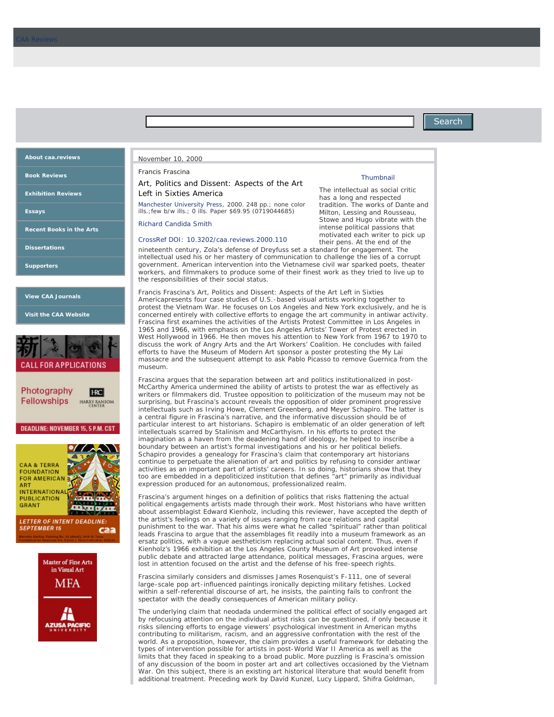## **Search**

# **[About caa.reviews](http://www.caareviews.org/reviews/373#collapseListGroup1)**

**[Book Reviews](http://www.caareviews.org/reviews/book)**

**[Exhibition Reviews](http://www.caareviews.org/reviews/exhibition)**

**[Essays](http://www.caareviews.org/reviews/essay)**

**[Recent Books in the Arts](http://www.caareviews.org/books_in_the_arts)**

**[Dissertations](http://www.caareviews.org/dissertations)**

**[Supporters](http://www.caareviews.org/about/supporters)**

**[View CAA Journals](http://caa.tandfonline.com/)**

**[Visit the CAA Website](http://www.collegeart.org/)**



| Photography        | <b>HC</b>                           |
|--------------------|-------------------------------------|
| <b>Fellowships</b> | <b>HARRY RANSO</b><br><b>CINTIR</b> |

**DEADLINE: NOVEMBER 15, 5 P.M. CST** 





#### November 10, 2000

Francis Frascina

### *Art, Politics and Dissent: Aspects of the Art Left in Sixties America*

[Manchester University Press,](http://www.manchesteruniversitypress.co.uk/) 2000. 248 pp.; none color ills.;few b/w ills.; 0 ills. Paper \$69.95 (0719044685)

#### [Richard Candida Smith](http://www.caareviews.org/reviewers/314)

[CrossRef DOI: 10.3202/caa.reviews.2000.110](http://dx.doi.org/10.3202/caa.reviews.2000.110)

nineteenth century, Zola's defense of Dreyfuss set a standard for engagement. The intellectual used his or her mastery of communication to challenge the lies of a corrupt government. American intervention into the Vietnamese civil war sparked poets, theater workers, and filmmakers to produce some of their finest work as they tried to live up to the responsibilities of their social status.

Francis Frascina's *Art, Politics and Dissent: Aspects of the Art Left in Sixties America*presents four case studies of U.S.-based visual artists working together to protest the Vietnam War. He focuses on Los Angeles and New York exclusively, and he is concerned entirely with collective efforts to engage the art community in antiwar activity. Frascina first examines the activities of the Artists Protest Committee in Los Angeles in 1965 and 1966, with emphasis on the Los Angeles Artists' Tower of Protest erected in West Hollywood in 1966. He then moves his attention to New York from 1967 to 1970 to discuss the work of Angry Arts and the Art Workers' Coalition. He concludes with failed efforts to have the Museum of Modern Art sponsor a poster protesting the My Lai massacre and the subsequent attempt to ask Pablo Picasso to remove *Guernica* from the museum.

Frascina argues that the separation between art and politics institutionalized in post-McCarthy America undermined the ability of artists to protest the war as effectively as writers or filmmakers did. Trustee opposition to politicization of the museum may not be surprising, but Frascina's account reveals the opposition of older prominent progressive intellectuals such as Irving Howe, Clement Greenberg, and Meyer Schapiro. The latter is a central figure in Frascina's narrative, and the informative discussion should be of particular interest to art historians. Schapiro is emblematic of an older generation of left intellectuals scarred by Stalinism and McCarthyism. In his efforts to protect the imagination as a haven from the deadening hand of ideology, he helped to inscribe a boundary between an artist's formal investigations and his or her political beliefs. Schapiro provides a genealogy for Frascina's claim that contemporary art historians continue to perpetuate the alienation of art and politics by refusing to consider antiwar activities as an important part of artists' careers. In so doing, historians show that they too are embedded in a depoliticized institution that defines "art" primarily as individual expression produced for an autonomous, professionalized realm.

Frascina's argument hinges on a definition of politics that risks flattening the actual political engagements artists made through their work. Most historians who have written about assemblagist Edward Kienholz, including this reviewer, have accepted the depth of the artist's feelings on a variety of issues ranging from race relations and capital punishment to the war. That his aims were what he called "spiritual" rather than political leads Frascina to argue that the assemblages fit readily into a museum framework as an ersatz politics, with a vague aestheticism replacing actual social content. Thus, even if Kienholz's 1966 exhibition at the Los Angeles County Museum of Art provoked intense public debate and attracted large attendance, political messages, Frascina argues, were lost in attention focused on the artist and the defense of his free-speech rights.

Frascina similarly considers and dismisses James Rosenquist's *F-111*, one of several large-scale pop art-influenced paintings ironically depicting military fetishes. Locked within a self-referential discourse of art, he insists, the painting fails to confront the spectator with the deadly consequences of American military policy.

The underlying claim that neodada undermined the political effect of socially engaged art by refocusing attention on the individual artist risks can be questioned, if only because it risks silencing efforts to engage viewers' psychological investment in American myths contributing to militarism, racism, and an aggressive confrontation with the rest of the world. As a proposition, however, the claim provides a useful framework for debating the types of intervention possible for artists in post-World War II America as well as the limits that they faced in speaking to a broad public. More puzzling is Frascina's omission of any discussion of the boom in poster art and art collectives occasioned by the Vietnam War. On this subject, there is an existing art historical literature that would benefit from additional treatment. Preceding work by David Kunzel, Lucy Lippard, Shifra Goldman,

#### **Thumbnail**

The intellectual as social critic has a long and respected tradition. The works of Dante and Milton, Lessing and Rousseau, Stowe and Hugo vibrate with the intense political passions that motivated each writer to pick up their pens. At the end of the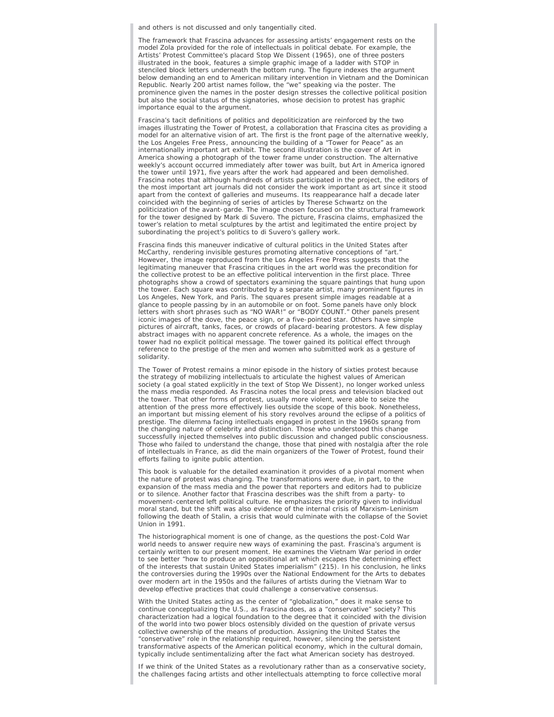and others is not discussed and only tangentially cited.

The framework that Frascina advances for assessing artists' engagement rests on the model Zola provided for the role of intellectuals in political debate. For example, the Artists' Protest Committee's placard *Stop We Dissent* (1965), one of three posters illustrated in the book, features a simple graphic image of a ladder with STOP in stenciled block letters underneath the bottom rung. The figure indexes the argument below demanding an end to American military intervention in Vietnam and the Dominican Republic. Nearly 200 artist names follow, the "we" speaking via the poster. The prominence given the names in the poster design stresses the collective political position but also the social status of the signatories, whose decision to protest has graphic importance equal to the argument.

Frascina's tacit definitions of politics and depoliticization are reinforced by the two images illustrating the Tower of Protest, a collaboration that Frascina cites as providing a model for an alternative vision of art. The first is the front page of the alternative weekly, the *Los Angeles Free Press*, announcing the building of a "Tower for Peace" as an internationally important art exhibit. The second illustration is the cover of *Art in America* showing a photograph of the tower frame under construction. The alternative weekly's account occurred immediately after tower was built, but *Art in America* ignored the tower until 1971, five years after the work had appeared and been demolished. Frascina notes that although hundreds of artists participated in the project, the editors of the most important art journals did not consider the work important as art since it stood apart from the context of galleries and museums. Its reappearance half a decade later coincided with the beginning of series of articles by Therese Schwartz on the politicization of the avant-garde. The image chosen focused on the structural framework for the tower designed by Mark di Suvero. The picture, Frascina claims, emphasized the tower's relation to metal sculptures by the artist and legitimated the entire project by subordinating the project's politics to di Suvero's gallery work.

Frascina finds this maneuver indicative of cultural politics in the United States after McCarthy, rendering invisible gestures promoting alternative conceptions of "art." However, the image reproduced from the *Los Angeles Free Press* suggests that the legitimating maneuver that Frascina critiques in the art world was the precondition for the collective protest to be an effective political intervention in the first place. Three photographs show a crowd of spectators examining the square paintings that hung upon the tower. Each square was contributed by a separate artist, many prominent figures in Los Angeles, New York, and Paris. The squares present simple images readable at a glance to people passing by in an automobile or on foot. Some panels have only block letters with short phrases such as "NO WAR!" or "BODY COUNT." Other panels present iconic images of the dove, the peace sign, or a five-pointed star. Others have simple pictures of aircraft, tanks, faces, or crowds of placard-bearing protestors. A few display abstract images with no apparent concrete reference. As a whole, the images on the tower had no explicit political message. The tower gained its political effect through reference to the prestige of the men and women who submitted work as a gesture of solidarity.

The Tower of Protest remains a minor episode in the history of sixties protest because the strategy of mobilizing intellectuals to articulate the highest values of American society (a goal stated explicitly in the text of *Stop We Dissent*), no longer worked unless the mass media responded. As Frascina notes the local press and television blacked out the tower. That other forms of protest, usually more violent, were able to seize the attention of the press more effectively lies outside the scope of this book. Nonetheless, an important but missing element of his story revolves around the eclipse of a politics of prestige. The dilemma facing intellectuals engaged in protest in the 1960s sprang from the changing nature of celebrity and distinction. Those who understood this change successfully injected themselves into public discussion and changed public consciousness. Those who failed to understand the change, those that pined with nostalgia after the role of intellectuals in France, as did the main organizers of the Tower of Protest, found their efforts failing to ignite public attention.

This book is valuable for the detailed examination it provides of a pivotal moment when the nature of protest was changing. The transformations were due, in part, to the expansion of the mass media and the power that reporters and editors had to publicize or to silence. Another factor that Frascina describes was the shift from a party- to movement-centered left political culture. He emphasizes the priority given to individual moral stand, but the shift was also evidence of the internal crisis of Marxism-Leninism following the death of Stalin, a crisis that would culminate with the collapse of the Soviet Union in 1991.

The historiographical moment is one of change, as the questions the post-Cold War world needs to answer require new ways of examining the past. Frascina's argument is certainly written to our present moment. He examines the Vietnam War period in order to see better "how to produce an oppositional art which escapes the determining effect of the interests that sustain United States imperialism" (215). In his conclusion, he links the controversies during the 1990s over the National Endowment for the Arts to debates over modern art in the 1950s and the failures of artists during the Vietnam War to develop effective practices that could challenge a conservative consensus.

With the United States acting as the center of "globalization," does it make sense to continue conceptualizing the U.S., as Frascina does, as a "conservative" society? This characterization had a logical foundation to the degree that it coincided with the division of the world into two power blocs ostensibly divided on the question of private versus collective ownership of the means of production. Assigning the United States the "conservative" role in the relationship required, however, silencing the persistent transformative aspects of the American political economy, which in the cultural domain, typically include sentimentalizing after the fact what American society has destroyed.

If we think of the United States as a revolutionary rather than as a conservative society, the challenges facing artists and other intellectuals attempting to force collective moral